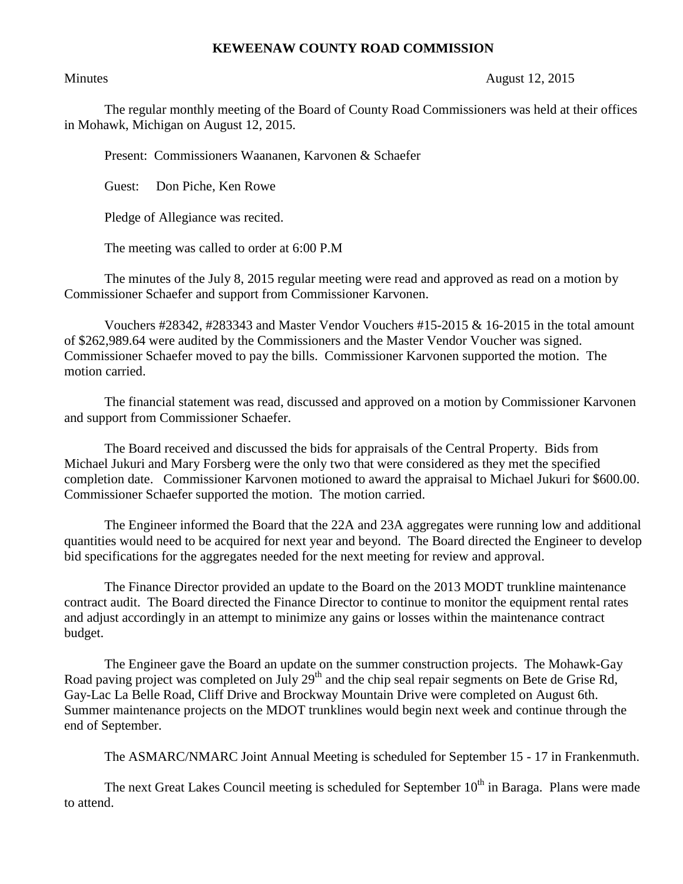## **KEWEENAW COUNTY ROAD COMMISSION**

## Minutes August 12, 2015

The regular monthly meeting of the Board of County Road Commissioners was held at their offices in Mohawk, Michigan on August 12, 2015.

Present: Commissioners Waananen, Karvonen & Schaefer

Guest: Don Piche, Ken Rowe

Pledge of Allegiance was recited.

The meeting was called to order at 6:00 P.M

The minutes of the July 8, 2015 regular meeting were read and approved as read on a motion by Commissioner Schaefer and support from Commissioner Karvonen.

Vouchers #28342, #283343 and Master Vendor Vouchers #15-2015 & 16-2015 in the total amount of \$262,989.64 were audited by the Commissioners and the Master Vendor Voucher was signed. Commissioner Schaefer moved to pay the bills. Commissioner Karvonen supported the motion. The motion carried.

The financial statement was read, discussed and approved on a motion by Commissioner Karvonen and support from Commissioner Schaefer.

The Board received and discussed the bids for appraisals of the Central Property. Bids from Michael Jukuri and Mary Forsberg were the only two that were considered as they met the specified completion date. Commissioner Karvonen motioned to award the appraisal to Michael Jukuri for \$600.00. Commissioner Schaefer supported the motion. The motion carried.

The Engineer informed the Board that the 22A and 23A aggregates were running low and additional quantities would need to be acquired for next year and beyond. The Board directed the Engineer to develop bid specifications for the aggregates needed for the next meeting for review and approval.

The Finance Director provided an update to the Board on the 2013 MODT trunkline maintenance contract audit. The Board directed the Finance Director to continue to monitor the equipment rental rates and adjust accordingly in an attempt to minimize any gains or losses within the maintenance contract budget.

The Engineer gave the Board an update on the summer construction projects. The Mohawk-Gay Road paving project was completed on July  $29<sup>th</sup>$  and the chip seal repair segments on Bete de Grise Rd, Gay-Lac La Belle Road, Cliff Drive and Brockway Mountain Drive were completed on August 6th. Summer maintenance projects on the MDOT trunklines would begin next week and continue through the end of September.

The ASMARC/NMARC Joint Annual Meeting is scheduled for September 15 - 17 in Frankenmuth.

The next Great Lakes Council meeting is scheduled for September  $10<sup>th</sup>$  in Baraga. Plans were made to attend.